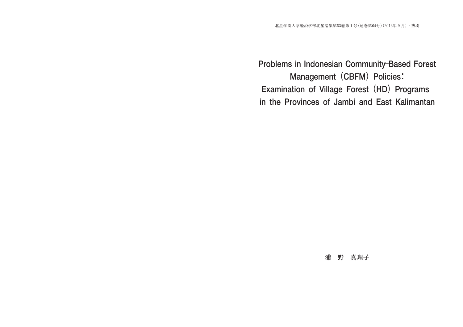# **Problems in Indonesian Community**-**Based Forest** Management (CBFM) Policies: **Examination of Village Forest(HD)Programs in the Provinces of Jambi and East Kalimantan**

# **浦 野 真理子**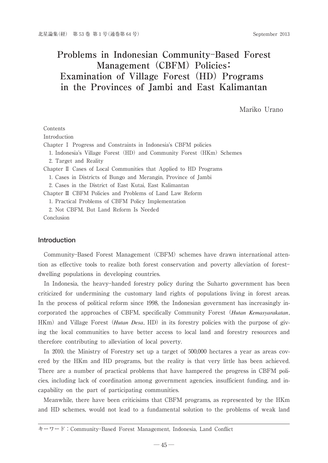# **Problems in Indonesian Community**-**Based Forest** Management (CBFM) Policies: Examination of Village Forest (HD) Programs **in the Provinces of Jambi and East Kalimantan**

Mariko Urano

## Contents Introduction Chapter I Progress and Constraints in Indonesia's CBFM policies 1. Indonesia's Village Forest (HD) and Community Forest (HKm) Schemes 2. Target and Reality Chapter Ⅱ Cases of Local Communities that Applied to HD Programs 1. Cases in Districts of Bungo and Merangin, Province of Jambi 2. Cases in the District of East Kutai, East Kalimantan Chapter Ⅲ CBFM Policies and Problems of Land Law Reform 1. Practical Problems of CBFM Policy Implementation 2. Not CBFM, But Land Reform Is Needed Conclusion

#### **Introduction**

Community-Based Forest Management (CBFM) schemes have drawn international attention as effective tools to realize both forest conservation and poverty alleviation of forest dwelling populations in developing countries.

In Indonesia, the heavy-handed forestry policy during the Suharto government has been criticized for undermining the customary land rights of populations living in forest areas. In the process of political reform since 1998, the Indonesian government has increasingly incorporated the approaches of CBFM, specifically Community Forest(*Hutan Kemasyarakatan*, HKm) and Village Forest (*Hutan Desa*, HD) in its forestry policies with the purpose of giving the local communities to have better access to local land and forestry resources and therefore contributing to alleviation of local poverty.

In 2010, the Ministry of Forestry set up a target of 500,000 hectares a year as areas covered by the HKm and HD programs, but the reality is that very little has been achieved. There are a number of practical problems that have hampered the progress in CBFM policies, including lack of coordination among government agencies, insufficient funding, and incapability on the part of participating communities.

Meanwhile, there have been criticisims that CBFM programs, as represented by the HKm and HD schemes, would not lead to a fundamental solution to the problems of weak land

キーワード:Community-Based Forest Management, Indonesia, Land Conflict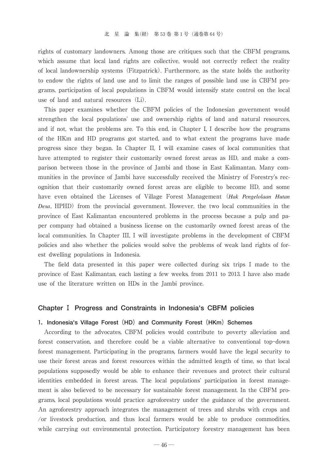rights of customary landowners. Among those are critiques such that the CBFM programs, which assume that local land rights are collective, would not correctly reflect the reality of local landownership systems(Fitzpatrick). Furthermore, as the state holds the authority to endow the rights of land use and to limit the ranges of possible land use in CBFM programs, participation of local populations in CBFM would intensify state control on the local use of land and natural resources  $(Li)$ .

This paper examines whether the CBFM policies of the Indonesian government would strengthen the local populations' use and ownership rights of land and natural resources, and if not, what the problems are. To this end, in Chapter I, I describe how the programs of the HKm and HD programs got started, and to what extent the programs have made progress since they began. In Chapter II, I will examine cases of local communities that have attempted to register their customarily owned forest areas as HD, and make a comparison between those in the province of Jambi and those in East Kalimantan. Many communities in the province of Jambi have successfully received the Ministry of Forestry's recognition that their customarily owned forest areas are eligible to become HD, and some have even obtained the Licenses of Village Forest Management (*Hak Pengelolaan Hutan Desa*, HPHD) from the provincial government. However, the two local communities in the province of East Kalimantan encountered problems in the process because a pulp and paper company had obtained a business license on the customarily owned forest areas of the local communities. In Chapter III, I will investigate problems in the development of CBFM policies and also whether the policies would solve the problems of weak land rights of forest dwelling populations in Indonesia.

The field data presented in this paper were collected during six trips I made to the province of East Kalimantan, each lasting a few weeks, from 2011 to 2013. I have also made use of the literature written on HDs in the Jambi province.

#### **Chapter Ⅰ Progress and Constraints in Indonesia's CBFM policies**

#### **1. Indonesia's Village Forest (HD) and Community Forest (HKm) Schemes**

According to the advocates, CBFM policies would contribute to poverty alleviation and forest conservation, and therefore could be a viable alternative to conventional top-down forest management. Participating in the programs, farmers would have the legal security to use their forest areas and forest resources within the admitted length of time, so that local populations supposedly would be able to enhance their revenues and protect their cultural identities embedded in forest areas. The local populations' participation in forest management is also believed to be necessary for sustainable forest management. In the CBFM programs, local populations would practice agroforestry under the guidance of the government. An agroforestry approach integrates the management of trees and shrubs with crops and /or livestock production, and thus local farmers would be able to produce commodities, while carrying out environmental protection. Participatory forestry management has been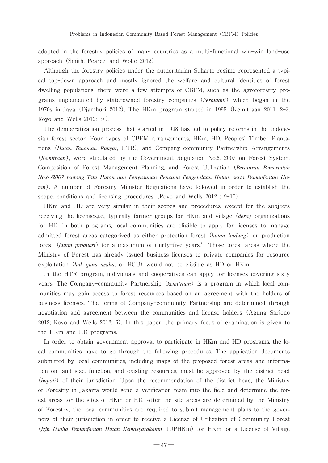adopted in the forestry policies of many countries as a multi-functional win-win land-use approach (Smith, Pearce, and Wolfe 2012).

Although the forestry policies under the authoritarian Suharto regime represented a typical top-down approach and mostly ignored the welfare and cultural identities of forest dwelling populations, there were a few attempts of CBFM, such as the agroforestry programs implemented by state-owned forestry companies (*Perhutani*) which began in the 1970s in Java(Djamhuri 2012). The HKm program started in 1995(Kemitraan 2011: 2-3; Royo and Wells 2012: 9).

The democratization process that started in 1998 has led to policy reforms in the Indonesian forest sector. Four types of CBFM arrangements, HKm, HD, Peoples' Timber Plantations(*Hutan Tanaman Rakyat*, HTR), and Company-community Partnership Arrangements (*Kemitraan*), were stipulated by the Government Regulation No.6, 2007 on Forest System, Composition of Forest Management Planning, and Forest Utilization(*Peraturan Pemerintah No.6 /2007 tentang Tata Hutan dan Penyusunan Rencana Pengelolaan Hutan, serta Pemanfaatan Hutan*). A number of Forestry Minister Regulations have followed in order to establish the scope, conditions and licensing procedures(Royo and Wells 2012 : 9-10).

HKm and HD are very similar in their scopes and procedures, except for the subjects receiving the licenses,i.e., typically farmer groups for HKm and village (*desa*) organizations for HD. In both programs, local communities are eligible to apply for licenses to manage admitted forest areas categorized as either protection forest (*hutan lindung*) or production forest (*hutan produksi*) for a maximum of thirty-five years.<sup>1</sup> Those forest areas where the Ministry of Forest has already issued business licenses to private companies for resource exploitation (hak guna usaha, or HGU) would not be eligible as HD or HKm.

In the HTR program, individuals and cooperatives can apply for licenses covering sixty years. The Company-community Partnership (*kemitraan*) is a program in which local communities may gain access to forest resources based on an agreement with the holders of business licenses. The terms of Company-community Partnership are determined through negotiation and agreement between the communities and license holders(Agung Sarjono 2012; Royo and Wells 2012: 6). In this paper, the primary focus of examination is given to the HKm and HD programs.

In order to obtain government approval to participate in HKm and HD programs, the local communities have to go through the following procedures. The application documents submitted by local communities, including maps of the proposed forest areas and information on land size, function, and existing resources, must be approved by the district head (*bupati*) of their jurisdiction. Upon the recommendation of the district head, the Ministry of Forestry in Jakarta would send a verification team into the field and determine the forest areas for the sites of HKm or HD. After the site areas are determined by the Ministry of Forestry, the local communities are required to submit management plans to the governors of their jurisdiction in order to receive a License of Utilization of Community Forest (*Izin Usaha Pemanfaatan Hutan Kemasyarakatan*, IUPHKm) for HKm, or a License of Village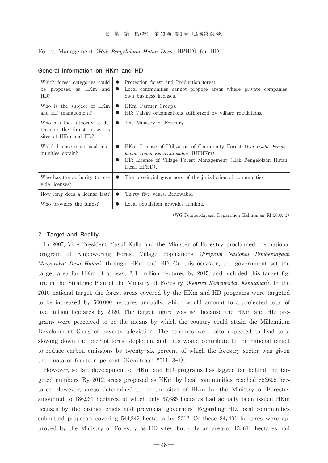Forest Management (*Hak Pengelolaan Hutan Desa*, HPHD) for HD.

| Which forest categories could<br>be proposed as HKm and<br>HD?                      | Protection forest and Production forest.<br>Local communities cannot propose areas where private companies<br>$\bullet$<br>own business licenses.                                                           |
|-------------------------------------------------------------------------------------|-------------------------------------------------------------------------------------------------------------------------------------------------------------------------------------------------------------|
| Who is the subject of HKm<br>and HD management?                                     | HKm: Farmer Groups.<br>$\bullet$<br>HD: Village organizations authorized by village regulations.                                                                                                            |
| Who has the authority to de-<br>termine the forest areas as<br>sites of HKm and HD? | The Ministry of Forestry<br>$\bullet$                                                                                                                                                                       |
| Which license must local com-<br>munities obtain?                                   | HKm: License of Utilization of Community Forest (Izin Usaha Peman-<br>$\bullet$<br>faatan Hutan Kemasyarakatan, IUPHKm).<br>HD: License of Village Forest Management (Hak Pengelolaan Hutan<br>Desa. HPHD). |
| Who has the authority to pro-<br>vide licenses?                                     | The provincial governors of the jurisdiction of communities.                                                                                                                                                |
| How long does a license last?                                                       | Thirty-five years. Renewable.                                                                                                                                                                               |
| Who provides the funds?                                                             | Local population provides funding.                                                                                                                                                                          |

#### **General Information on HKm and HD**

(WG Pemberdayaan Departmen Kahutanan Rl 2009: 2)

#### **2.Target and Reality**

In 2007, Vice President Yusuf Kalla and the Minister of Forestry proclaimed the national program of Empowering Forest Village Populations (*Program Nasional Pemberdayaan Masyarakat Desa Hutan*) through HKm and HD. On this occasion, the government set the target area for HKm of at least 2.1 million hectares by 2015, and included this target figure in the Strategic Plan of the Ministry of Forestry(*Renstra Kementerian Kehutanan*). In the 2010 national target, the forest areas covered by the HKm and HD programs were targeted to be increased by 500,000 hectares annually, which would amount to a projected total of five million hectares by 2020. The target figure was set because the HKm and HD programs were perceived to be the means by which the country could attain the Millennium Development Goals of poverty alleviation. The schemes were also expected to lead to a slowing down the pace of forest depletion, and thus would contribute to the national target to reduce carbon emissions by twenty-six percent, of which the forestry sector was given the quota of fourteen percent (Kemitraan 2011: 3-4).

However, so far, development of HKm and HD programs has lagged far behind the targeted numbers. By 2012, areas proposed as  $HKm$  by local communities reached 552,695 hectares. However, areas determined to be the sites of HKm by the Ministry of Forestry amounted to 186,931 hectares, of which only 57,685 hectares had actually been issued HKm licenses by the district chiefs and provincial governors. Regarding HD, local communities submitted proposals covering  $544,243$  hectares by 2012. Of these  $84,401$  hectares were approved by the Ministry of Forestry as HD sites, but only an area of 15,611 hectares had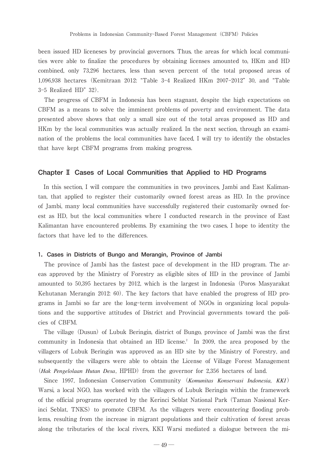been issued HD liceneses by provincial governors. Thus, the areas for which local communities were able to finalize the procedures by obtaining licenses amounted to, HKm and HD combined, only 73,296 hectares, less than seven percent of the total proposed areas of 1,096,938 hectares (Kemitraan 2012: "Table 3-4 Realized HKm 2007-2012" 30, and "Table 3-5 Realized HD" 32).

The progress of CBFM in Indonesia has been stagnant, despite the high expectations on CBFM as a means to solve the imminent problems of poverty and environment. The data presented above shows that only a small size out of the total areas proposed as HD and HKm by the local communities was actually realized. In the next section, through an examination of the problems the local communities have faced, I will try to identify the obstacles that have kept CBFM programs from making progress.

#### **Chapter Ⅱ Cases of Local Communities that Applied to HD Programs**

In this section, I will compare the communities in two provinces, Jambi and East Kalimantan, that applied to register their customarily owned forest areas as HD. In the province of Jambi, many local communities have successfully registered their customarily owned forest as HD, but the local communities where I conducted research in the province of East Kalimantan have encountered problems. By examining the two cases, I hope to identity the factors that have led to the differences.

#### **1.Cases in Districts of Bungo and Merangin, Province of Jambi**

The province of Jambi has the fastest pace of development in the HD program. The areas approved by the Ministry of Forestry as eligible sites of HD in the province of Jambi amounted to 50,395 hectares by 2012, which is the largest in Indonesia (Poros Masyarakat Kehutanan Merangin 2012: 60). The key factors that have enabled the progress of HD programs in Jambi so far are the long-term involvement of NGOs in organizing local populations and the supportive attitudes of District and Provincial governments toward the policies of CBFM.

The village (Dusun) of Lubuk Beringin, district of Bungo, province of Jambi was the first community in Indonesia that obtained an HD license.<sup>2</sup> In 2009, the area proposed by the villagers of Lubuk Beringin was approved as an HD site by the Ministry of Forestry, and subsequently the villagers were able to obtain the License of Village Forest Management (*Hak Pengelolaan Hutan Desa*, HPHD) from the governor for 2,356 hectares of land.

Since 1997, Indonesian Conservation Community (*Komunitas Konservasi Indonesia, KKI*) Warsi, a local NGO, has worked with the villagers of Lubuk Beringin within the framework of the official programs operated by the Kerinci Seblat National Park(Taman Nasional Kerinci Seblat, TNKS) to promote CBFM. As the villagers were encountering flooding problems, resulting from the increase in migrant populations and their cultivation of forest areas along the tributaries of the local rivers, KKI Warsi mediated a dialogue between the mi-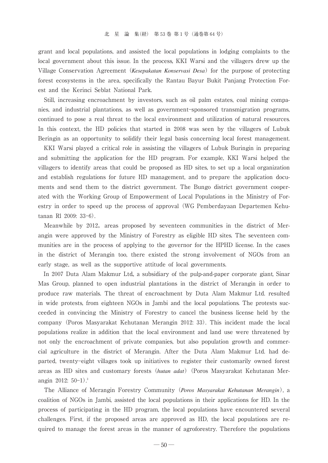grant and local populations, and assisted the local populations in lodging complaints to the local government about this issue. In the process, KKI Warsi and the villagers drew up the Village Conservation Agreement (*Kesepakatan Konservasi Desa*) for the purpose of protecting forest ecosystems in the area, specifically the Rantau Bayur Bukit Panjang Protection Forest and the Kerinci Seblat National Park.

Still, increasing encroachment by investors, such as oil palm estates, coal mining companies, and industrial plantations, as well as government-sponsored transmigration programs, continued to pose a real threat to the local environment and utilization of natural resources. In this context, the HD policies that started in 2008 was seen by the villagers of Lubuk Beringin as an opportunity to solidify their legal basis concerning local forest management.

KKI Warsi played a critical role in assisting the villagers of Lubuk Buringin in preparing and submitting the application for the HD program. For example, KKI Warsi helped the villagers to identify areas that could be proposed as HD sites, to set up a local organization and establish regulations for future HD management, and to prepare the application documents and send them to the district government. The Bungo district government cooperated with the Working Group of Empowerment of Local Populations in the Ministry of Forestry in order to speed up the process of approval(WG Pemberdayaan Departemen Kehutanan Rl 2009: 33-6).

Meanwhile by 2012, areas proposed by seventeen communities in the district of Merangin were approved by the Ministry of Forestry as eligible HD sites. The seventeen communities are in the process of applying to the governor for the HPHD license. In the cases in the district of Merangin too, there existed the strong involvement of NGOs from an early stage, as well as the supportive attitude of local governments.

In 2007 Duta Alam Makmur Ltd., a subsidiary of the pulp-and-paper corporate giant, Sinar Mas Group, planned to open industrial plantations in the district of Merangin in order to produce raw materials. The threat of encroachment by Duta Alam Makmur Ltd. resulted in wide protests, from eighteen NGOs in Jambi and the local populations. The protests succeeded in convincing the Ministry of Forestry to cancel the business license held by the company(Poros Masyarakat Kehutanan Merangin 2012: 33). This incident made the local populations realize in addition that the local environment and land use were threatened by not only the encroachment of private companies, but also population growth and commercial agriculture in the district of Merangin. After the Duta Alam Makmur Ltd. had departed, twenty-eight villages took up initiatives to register their customarily owned forest areas as HD sites and customary forests(*hutan adat*)(Poros Masyarakat Kehutanan Merangin 2012: 50-1). 3

The Alliance of Merangin Forestry Community(*Poros Masyarakat Kehutanan Merangin*), a coalition of NGOs in Jambi, assisted the local populations in their applications for HD. In the process of participating in the HD program, the local populations have encountered several challenges. First, if the proposed areas are approved as HD, the local populations are required to manage the forest areas in the manner of agroforestry. Therefore the populations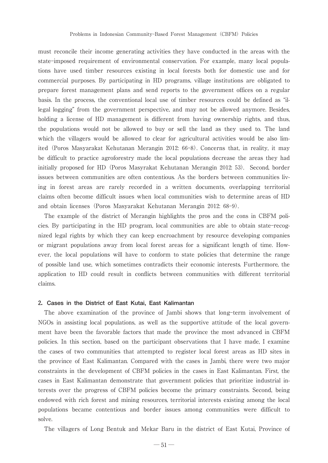must reconcile their income generating activities they have conducted in the areas with the state-imposed requirement of environmental conservation. For example, many local populations have used timber resources existing in local forests both for domestic use and for commercial purposes. By participating in HD programs, village institutions are obligated to prepare forest management plans and send reports to the government offices on a regular basis. In the process, the conventional local use of timber resources could be defined as "illegal logging" from the government perspective, and may not be allowed anymore. Besides, holding a license of HD management is different from having ownership rights, and thus, the populations would not be allowed to buy or sell the land as they used to. The land which the villagers would be allowed to clear for agricultural activities would be also limited(Poros Masyarakat Kehutanan Merangin 2012: 66-8). Concerns that, in reality, it may be difficult to practice agroforestry made the local populations decrease the areas they had initially proposed for HD (Poros Masyrakat Kehutanan Merangin 2012: 53). Second, border issues between communities are often contentious. As the borders between communities living in forest areas are rarely recorded in a written documents, overlapping territorial claims often become difficult issues when local communities wish to determine areas of HD and obtain licenses(Poros Masyarakat Kehutanan Merangin 2012: 68-9).

The example of the district of Merangin highlights the pros and the cons in CBFM policies. By participating in the HD program, local communities are able to obtain state-recognized legal rights by which they can keep encroachment by resource developing companies or migrant populations away from local forest areas for a significant length of time. However, the local populations will have to conform to state policies that determine the range of possible land use, which sometimes contradicts their economic interests. Furthermore, the application to HD could result in conflicts between communities with different territorial claims.

#### **2.Cases in the District of East Kutai, East Kalimantan**

The above examination of the province of Jambi shows that long-term involvement of NGOs in assisting local populations, as well as the supportive attitude of the local government have been the favorable factors that made the province the most advanced in CBFM policies. In this section, based on the participant observations that I have made, I examine the cases of two communities that attempted to register local forest areas as HD sites in the province of East Kalimantan. Compared with the cases in Jambi, there were two major constraints in the development of CBFM policies in the cases in East Kalimantan. First, the cases in East Kalimantan demonstrate that government policies that prioritize industrial interests over the progress of CBFM policies become the primary constraints. Second, being endowed with rich forest and mining resources, territorial interests existing among the local populations became contentious and border issues among communities were difficult to solve.

The villagers of Long Bentuk and Mekar Baru in the district of East Kutai, Province of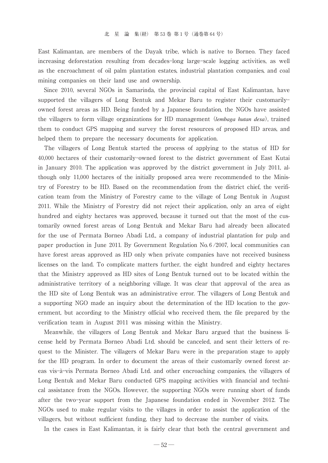East Kalimantan, are members of the Dayak tribe, which is native to Borneo. They faced increasing deforestation resulting from decades-long large-scale logging activities, as well as the encroachment of oil palm plantation estates, industrial plantation companies, and coal mining companies on their land use and ownership.

Since 2010, several NGOs in Samarinda, the provincial capital of East Kalimantan, have supported the villagers of Long Bentuk and Mekar Baru to register their customarily owned forest areas as HD. Being funded by a Japanese foundation, the NGOs have assisted the villagers to form village organizations for HD management(*lembaga hutan desa*), trained them to conduct GPS mapping and survey the forest resources of proposed HD areas, and helped them to prepare the necessary documents for application.

The villagers of Long Bentuk started the process of applying to the status of HD for 400, 00 hectares of their customarily-owned forest to the district government of East Kutai in January 2010. The application was approved by the district government in July 2011, although only 11,000 hectares of the initially proposed area were recommended to the Ministry of Forestry to be HD. Based on the recommendation from the district chief, the verification team from the Ministry of Forestry came to the village of Long Bentuk in August 2011. While the Ministry of Forestry did not reject their application, only an area of eight hundred and eighty hectares was approved, because it turned out that the most of the customarily owned forest areas of Long Bentuk and Mekar Baru had already been allocated for the use of Permata Borneo Abadi Ltd., a company of industrial plantation for pulp and paper production in June 2011. By Government Regulation No.6/2007, local communities can have forest areas approved as HD only when private companies have not received business licenses on the land. To complicate matters further, the eight hundred and eighty hectares that the Ministry approved as HD sites of Long Bentuk turned out to be located within the administrative territory of a neighboring village. It was clear that approval of the area as the HD site of Long Bentuk was an administrative error. The villagers of Long Bentuk and a supporting NGO made an inquiry about the determination of the HD location to the government, but according to the Ministry official who received them, the file prepared by the verification team in August 2011 was missing within the Ministry.

Meanwhile, the villagers of Long Bentuk and Mekar Baru argued that the business license held by Permata Borneo Abadi Ltd. should be canceled, and sent their letters of request to the Minister. The villagers of Mekar Baru were in the preparation stage to apply for the HD program. In order to document the areas of their customarily owned forest areas vis-à-vis Permata Borneo Abadi Ltd. and other encroaching companies, the villagers of Long Bentuk and Mekar Baru conducted GPS mapping activities with financial and technical assistance from the NGOs. However, the supporting NGOs were running short of funds after the two-year support from the Japanese foundation ended in November 2012. The NGOs used to make regular visits to the villages in order to assist the application of the villagers, but without sufficient funding, they had to decrease the number of visits.

In the cases in East Kalimantan, it is fairly clear that both the central government and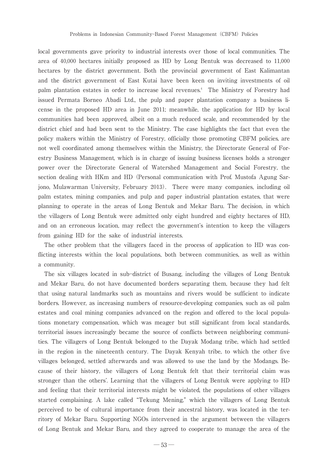local governments gave priority to industrial interests over those of local communities. The area of  $40,000$  hectares initially proposed as HD by Long Bentuk was decreased to  $11,000$ hectares by the district government. Both the provincial government of East Kalimantan and the district government of East Kutai have been keen on inviting investments of oil palm plantation estates in order to increase local revenues.<sup>4</sup> The Ministry of Forestry had issued Permata Borneo Abadi Ltd., the pulp and paper plantation company a business license in the proposed HD area in June 2011; meanwhile, the application for HD by local communities had been approved, albeit on a much reduced scale, and recommended by the district chief and had been sent to the Ministry. The case highlights the fact that even the policy makers within the Ministry of Forestry, officially those promoting CBFM policies, are not well coordinated among themselves: within the Ministry, the Directorate General of Forestry Business Management, which is in charge of issuing business licenses holds a stronger power over the Directorate General of Watershed Management and Social Forestry, the section dealing with HKm and HD (Personal communication with Prof. Mustofa Agung Sarjono, Mulawarman University, February 2013). There were many companies, including oil palm estates, mining companies, and pulp and paper industrial plantation estates, that were planning to operate in the areas of Long Bentuk and Mekar Baru. The decision, in which the villagers of Long Bentuk were admitted only eight hundred and eighty hectares of HD, and on an erroneous location, may reflect the government's intention to keep the villagers from gaining HD for the sake of industrial interests.

The other problem that the villagers faced in the process of application to HD was conflicting interests within the local populations, both between communities, as well as within a community.

The six villages located in sub-district of Busang, including the villages of Long Bentuk and Mekar Baru, do not have documented borders separating them, because they had felt that using natural landmarks such as mountains and rivers would be sufficient to indicate borders. However, as increasing numbers of resource-developing companies, such as oil palm estates and coal mining companies advanced on the region and offered to the local populations monetary compensation, which was meager but still significant from local standards, territorial issues increasingly became the source of conflicts between neighboring communities. The villagers of Long Bentuk belonged to the Dayak Modang tribe, which had settled in the region in the nineteenth century. The Dayak Kenyah tribe, to which the other five villages belonged, settled afterwards and was allowed to use the land by the Modangs. Because of their history, the villagers of Long Bentuk felt that their territorial claim was stronger than the others'. Learning that the villagers of Long Bentuk were applying to HD and feeling that their territorial interests might be violated, the populations of other villages started complaining. A lake called "Tekung Mening," which the villagers of Long Bentuk perceived to be of cultural importance from their ancestral history, was located in the territory of Mekar Baru. Supporting NGOs intervened in the argument between the villagers of Long Bentuk and Mekar Baru, and they agreed to cooperate to manage the area of the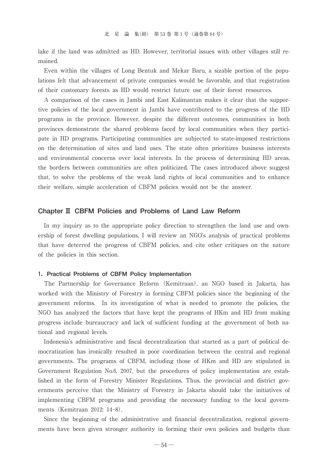lake if the land was admitted as HD. However, territorial issues with other villages still remained.

Even within the villages of Long Bentuk and Mekar Baru, a sizable portion of the populations felt that advancement of private companies would be favorable, and that registration of their customary forests as HD would restrict future use of their forest resources.

A comparison of the cases in Jambi and East Kalimantan makes it clear that the supportive policies of the local government in Jambi have contributed to the progress of the HD programs in the province. However, despite the different outcomes, communities in both provinces demonstrate the shared problems faced by local communities when they participate in HD programs. Participating communities are subjected to state-imposed restrictions on the determination of sites and land uses. The state often prioritizes business interests and environmental concerns over local interests. In the process of determining HD areas, the borders between communities are often politicized. The cases introduced above suggest that, to solve the problems of the weak land rights of local communities and to enhance their welfare, simple acceleration of CBFM policies would not be the answer.

#### **Chapter Ⅲ CBFM Policies and Problems of Land Law Reform**

In my inquiry as to the appropriate policy direction to strengthen the land use and ownership of forest dwelling populations, I will review an NGO's analysis of practical problems that have deterred the progress of CBFM policies, and cite other critiques on the nature of the policies in this section.

#### **1.Practical Problems of CBFM Policy Implementation**

The Partnership for Governance Reform (Kemitraan), an NGO based in Jakarta, has worked with the Ministry of Forestry in forming CBFM policies since the beginning of the government reforms. In its investigation of what is needed to promote the policies, the NGO has analyzed the factors that have kept the programs of HKm and HD from making progress include bureaucracy and lack of sufficient funding at the government of both national and regional levels.

Indonesia's administrative and fiscal decentralization that started as a part of political democratization has ironically resulted in poor coordination between the central and regional governments. The programs of CBFM, including those of HKm and HD are stipulated in Government Regulation No.6, 2007, but the procedures of policy implementation are established in the form of Forestry Minister Regulations. Thus, the provincial and district governments perceive that the Ministry of Forestry in Jakarta should take the initiatives of implementing CBFM programs and providing the necessary funding to the local governments(Kemitraan 2012: 14-8).

Since the beginning of the administrative and financial decentralization, regional governments have been given stronger authority in forming their own policies and budgets than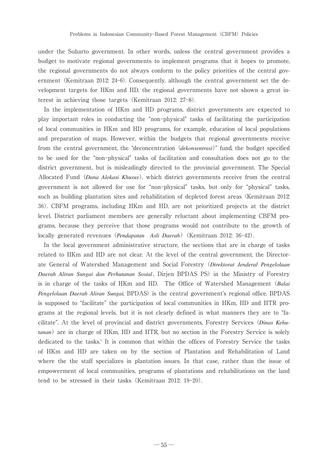under the Suharto government. In other words, unless the central government provides a budget to motivate regional governments to implement programs that it hopes to promote, the regional governments do not always conform to the policy priorities of the central government (Kemitraan 2012: 24–6). Consequently, although the central government set the development targets for HKm and HD, the regional governments have not shown a great interest in achieving those targets(Kemitraan 2012: 27-8).

In the implementation of HKm and HD programs, district governments are expected to play important roles in conducting the "non-physical" tasks of facilitating the participation of local communities in HKm and HD programs, for example, education of local populations and preparation of maps. However, within the budgets that regional governments receive from the central government, the "deconcentration (*dekonsentrasi*)" fund, the budget specified to be used for the "non-physical" tasks of facilitation and consultation does not go to the district government, but is misleadingly directed to the provincial government. The Special Allocated Fund(*Dana Alokasi Khusus*), which district governments receive from the central government is not allowed for use for "non-physical" tasks, but only for "physical" tasks, such as building plantation sites and rehabilitation of depleted forest areas (Kemitraan 2012: 36). CBFM programs, including HKm and HD, are not prioritized projects at the district level. District parliament members are generally reluctant about implementing CBFM programs, because they perceive that those programs would not contribute to the growth of locally generated revenues(*Pendapatan Asli Daerah*)(Kemitraan 2012: 36-42).

In the local government administrative structure, the sections that are in charge of tasks related to HKm and HD are not clear. At the level of the central government, the Directorate General of Watershed Management and Social Forestry(*Direktorat Jenderal Pengelolaan Daerah Aliran Sungai dan Perhutanan Sosial* , Dirjen BPDAS PS)in the Ministry of Forestry is in charge of the tasks of HKm and HD. The Office of Watershed Management(*Balai* Pengelolaan Daerah Aliran Sungai, BPDAS) is the central government's regional office. BPDAS is supposed to "facilitate" the participation of local communities in HKm, HD and HTR programs at the regional levels, but it is not clearly defined in what manners they are to "facilitate". At the level of provincial and district governments, Forestry Services (*Dinas Kehutanan*) are in charge of HKm, HD and HTR, but no section in the Forestry Service is solely dedicated to the tasks.<sup>5</sup> It is common that within the offices of Forestry Service the tasks of HKm and HD are taken on by the section of Plantation and Rehabilitation of Land where the the staff specializes in plantation issues. In that case, rather than the issue of empowerment of local communities, programs of plantations and rehabilitations on the land tend to be stressed in their tasks(Kemitraan 2012: 19-20).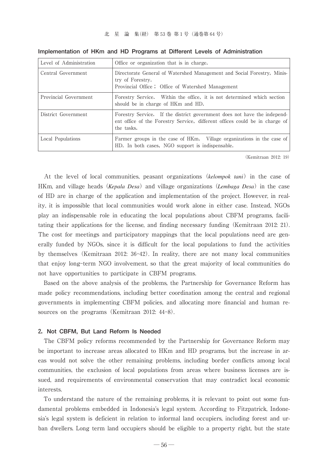| Level of Administration | Office or organization that is in charge.                                                                                                                             |
|-------------------------|-----------------------------------------------------------------------------------------------------------------------------------------------------------------------|
| Central Government      | Directorate General of Watershed Management and Social Forestry, Minis-<br>try of Forestry.<br>Provincial Office; Office of Watershed Management                      |
| Provincial Government   | Forestry Service. Within the office, it is not determined which section<br>should be in charge of HKm and HD.                                                         |
| District Government     | Forestry Service. If the district government does not have the independ-<br>ent office of the Forestry Service, different offices could be in charge of<br>the tasks. |
| Local Populations       | Farmer groups in the case of HKm. Village organizations in the case of<br>HD. In both cases, NGO support is indispensable.                                            |

**Implementation of HKm and HD Programs at Different Levels of Administration**

(Kemitraan 2012: 19)

At the level of local communities, peasant organizations(*kelompok tani*)in the case of HKm, and village heads(*Kepala Desa*)and village organizations(*Lembaga Desa*)in the case of HD are in charge of the application and implementation of the project. However, in reality, it is impossible that local communities would work alone in either case. Instead, NGOs play an indispensable role in educating the local populations about CBFM programs, facilitating their applications for the license, and finding necessary funding(Kemitraan 2012: 21). The cost for meetings and participatory mappings that the local populations need are generally funded by NGOs, since it is difficult for the local populations to fund the activities by themselves (Kemitraan 2012: 36-42). In reality, there are not many local communities that enjoy long-term NGO involvement, so that the great majority of local communities do not have opportunities to participate in CBFM programs.

Based on the above analysis of the problems, the Partnership for Governance Reform has made policy recommendations, including better coordination among the central and regional governments in implementing CBFM policies, and allocating more financial and human resources on the programs (Kemitraan 2012: 44-8).

#### **2.Not CBFM, But Land Reform Is Needed**

The CBFM policy reforms recommended by the Partnership for Governance Reform may be important to increase areas allocated to HKm and HD programs, but the increase in areas would not solve the other remaining problems, including border conflicts among local communities, the exclusion of local populations from areas where business licenses are issued, and requirements of environmental conservation that may contradict local economic interests.

To understand the nature of the remaining problems, it is relevant to point out some fundamental problems embedded in Indonesia's legal system. According to Fitzpatrick, Indonesia's legal system is deficient in relation to informal land occupiers, including forest and urban dwellers. Long term land occupiers should be eligible to a property right, but the state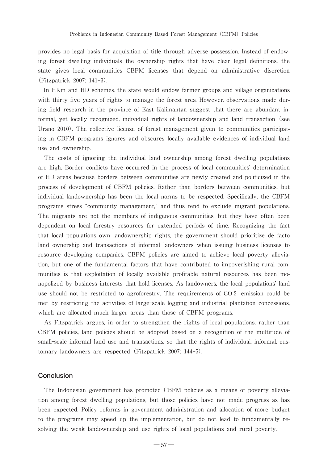provides no legal basis for acquisition of title through adverse possession. Instead of endowing forest dwelling individuals the ownership rights that have clear legal definitions, the state gives local communities CBFM licenses that depend on administrative discretion (Fitzpatrick 2007: 141-3).

In HKm and HD schemes, the state would endow farmer groups and village organizations with thirty five years of rights to manage the forest area. However, observations made during field research in the province of East Kalimantan suggest that there are abundant informal, yet locally recognized, individual rights of landownership and land transaction(see Urano 2010). The collective license of forest management given to communities participating in CBFM programs ignores and obscures locally available evidences of individual land use and ownership.

The costs of ignoring the individual land ownership among forest dwelling populations are high. Border conflicts have occurred in the process of local communities' determination of HD areas because borders between communities are newly created and politicized in the process of development of CBFM policies. Rather than borders between communities, but individual landownership has been the local norms to be respected. Specifically, the CBFM programs stress "community management," and thus tend to exclude migrant populations. The migrants are not the members of indigenous communities, but they have often been dependent on local forestry resources for extended periods of time. Recognizing the fact that local populations own landownership rights, the government should prioritize de facto land ownership and transactions of informal landowners when issuing business licenses to resource developing companies. CBFM policies are aimed to achieve local poverty alleviation, but one of the fundamental factors that have contributed to impoverishing rural communities is that exploitation of locally available profitable natural resources has been monopolized by business interests that hold licenses. As landowners, the local populations' land use should not be restricted to agroforestry. The requirements of CO2 emission could be met by restricting the activities of large-scale logging and industrial plantation concessions, which are allocated much larger areas than those of CBFM programs.

As Fitzpatrick argues, in order to strengthen the rights of local populations, rather than CBFM policies, land policies should be adopted based on a recognition of the multitude of small-scale informal land use and transactions, so that the rights of individual, informal, customary landowners are respected(Fitzpatrick 2007: 144-5).

#### **Conclusion**

The Indonesian government has promoted CBFM policies as a means of poverty alleviation among forest dwelling populations, but those policies have not made progress as has been expected. Policy reforms in government administration and allocation of more budget to the programs may speed up the implementation, but do not lead to fundamentally resolving the weak landownership and use rights of local populations and rural poverty.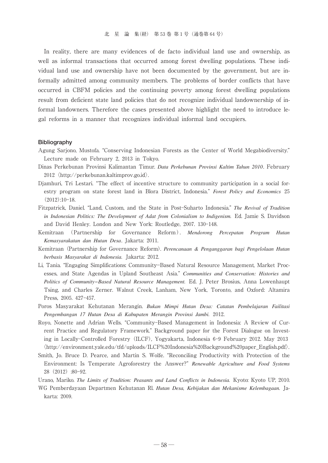In reality, there are many evidences of de facto individual land use and ownership, as well as informal transactions that occurred among forest dwelling populations. These individual land use and ownership have not been documented by the government, but are informally admitted among community members. The problems of border conflicts that have occurred in CBFM policies and the continuing poverty among forest dwelling populations result from deficient state land policies that do not recognize individual landownership of informal landowners. Therefore the cases presented above highlight the need to introduce legal reforms in a manner that recognizes individual informal land occupiers.

#### **Bibliography**

- Agung Sarjono, Mustofa. "Conserving Indonesian Forests as the Center of World Megabiodiversity." Lecture made on February 2, 2013 in Tokyo.
- Dinas Perkebunan Provinsi Kalimantan Timur. *Data Perkebunan Provinsi Kaltim Tahun 2010*. February 2012  $\langle$ http://perkebunan.kaltimprov.go.id $\rangle$ .
- Djamhuri, Tri Lestari. "The effect of incentive structure to community participation in a social forestry program on state forest land in Blora District, Indonesia. *Forest Policy and Economics* 25  $(2012):10-18.$
- Fitzpatrick, Daniel. "Land, Custom, and the State in Post-Suharto Indonesia." The Revival of Tradition *in Indonesian Politics: The Development of Adat from Colonialism to Indigenism.* Ed. Jamie S. Davidson and David Henley. London and New York: Routledge, 2007. 130-148.
- Kemitraan (Partnership for Governance Reform). *Mendorong Percepatan Program Hutan Kemasyarakatan dan Hutan Desa*. Jakarta: 2011.
- Kemitraan(Partnership for Governance Reform). *Perencanaan & Penganggaran bagi Pengelolaan Hutan berbasis Masyarakat di Indonesia.* Jakarta: 2012.
- Li, Tania. "Engaging Simplifications: Community-Based Natural Resource Management, Market Processes, and State Agendas in Upland Southeast Asia. *Communities and Conservation: Histories and Politics of Community−Based Natural Resource Management.* Ed. J. Peter Brosius, Anna Lowenhaupt Tsing, and Charles Zerner. Walnut Creek, Lanham, New York, Toronto, and Oxford: Altamira Press, 2005. 427-457.
- Poros Masyarakat Kehutanan Merangin. *Bukan Mimpi Hutan Desa: Catatan Pembelajaran Failitasi Pengembangan 17 Hutan Desa di Kabupaten Merangin Provinsi Jambi.* 2012.
- Royo, Nonette and Adrian Wells. "Community-Based Management in Indonesia: A Review of Current Practice and Regulatory Framework. Background paper for the Forest Dialogue on Investing in Locally-Controlled Forestry(ILCF), Yogyakarta, Indonesia 6-9 February 2012. May 2013 〈http://environment.yale.edu/tfd/uploads/ILCF%20Indonesia%20Background%20paper\_English.pdf〉.
- Smith, Jo. Bruce D. Pearce, and Martin S. Wolfe. "Reconciling Productivity with Protection of the Environment: Is Temperate Agroforestry the Answer? *Renewable Agriculture and Food Systems*  $28(2012):80-92.$
- Urano, Mariko. *The Limits of Tradition: Peasants and Land Conflicts in Indonesia.* Kyoto: Kyoto UP, 2010.
- WG Pemberdayaan Departmen Kehutanan Rl. *Hutan Desa, Kebijakan dan Mekanisme Kelembagaan.* Jakarta: 2009.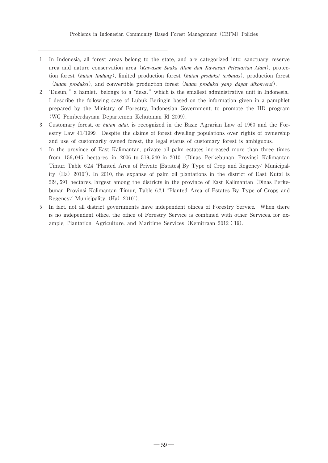――――――――――――――――――――――――

- 1 In Indonesia, all forest areas belong to the state, and are categorized into: sanctuary reserve area and nature conservation area(*Kawasan Suaka Alam dan Kawasan Pelestarian Alam*), protection forest(*hutan lindung*), limited production forest(*hutan produksi terbatas*), production forest (*hutan produksi*), and convertible production forest(*hutan produksi yang dapat dikonversi*).
- 2 "Dusun," a hamlet, belongs to a "desa," which is the smallest administrative unit in Indonesia. I describe the following case of Lubuk Beringin based on the information given in a pamphlet prepared by the Ministry of Forestry, Indonesian Government, to promote the HD program (WG Pemberdayaan Departemen Kehutanan Rl 2009).
- 3 Customary forest, or *hutan adat*, is recognized in the Basic Agrarian Law of 1960 and the Forestry Law 41/1999. Despite the claims of forest dwelling populations over rights of ownership and use of customarily owned forest, the legal status of customary forest is ambiguous.
- In the province of East Kalimantan, private oil palm estates increased more than three times from 156,045 hectares in 2006 to 519,540 in 2010(Dinas Perkebunan Provinsi Kalimantan Timur, Table 6.2.4 "Planted Area of Private [Estates] By Type of Crop and Regency/ Municipality(Ha)2010). In 2010, the expanse of palm oil plantations in the district of East Kutai is 224,591 hectares, largest among the districts in the province of East Kalimantan (Dinas Perkebunan Provinsi Kalimantan Timur, Table 6.2.1 "Planted Area of Estates By Type of Crops and Regency/ Municipality  $(Ha) 2010$ ").
- 5 In fact, not all district governments have independent offices of Forestry Service. When there is no independent office, the office of Forestry Service is combined with other Services, for example, Plantation, Agriculture, and Maritime Services (Kemitraan  $2012:19$ ).